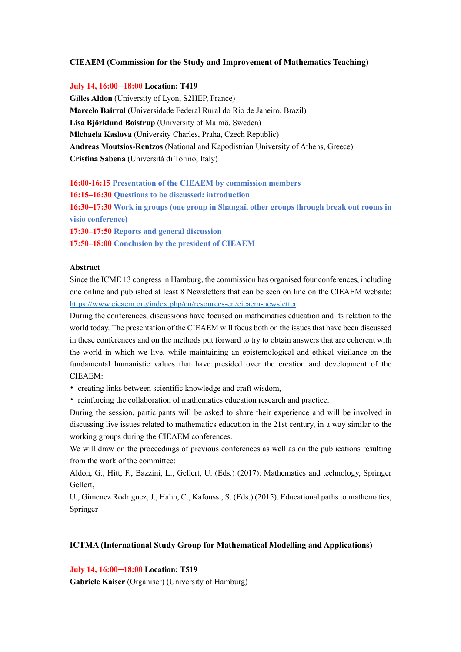## **CIEAEM (Commission for the Study and Improvement of Mathematics Teaching)**

### **July 14, 16:00─18:00 Location: T419**

**Gilles Aldon** (University of Lyon, S2HEP, France) **Marcelo Bairral** (Universidade Federal Rural do Rio de Janeiro, Brazil) **Lisa Björklund Boistrup** (University of Malmö, Sweden) **Michaela Kaslova** (University Charles, Praha, Czech Republic) **Andreas Moutsios-Rentzos** (National and Kapodistrian University of Athens, Greece) **Cristina Sabena** (Università di Torino, Italy)

### **16:00-16:15 Presentation of the CIEAEM by commission members**

**16:15–16:30 Questions to be discussed: introduction**

**16:30–17:30 Work in groups (one group in Shangaï, other groups through break out rooms in visio conference)**

**17:30–17:50 Reports and general discussion**

**17:50–18:00 Conclusion by the president of CIEAEM**

#### **Abstract**

Since the ICME 13 congress in Hamburg, the commission has organised four conferences, including one online and published at least 8 Newsletters that can be seen on line on the CIEAEM website: https://www.cieaem.org/index.php/en/resources-en/cieaem-newsletter.

During the conferences, discussions have focused on mathematics education and its relation to the world today. The presentation of the CIEAEM will focus both on the issues that have been discussed in these conferences and on the methods put forward to try to obtain answers that are coherent with the world in which we live, while maintaining an epistemological and ethical vigilance on the fundamental humanistic values that have presided over the creation and development of the CIEAEM:

- creating links between scientific knowledge and craft wisdom,
- reinforcing the collaboration of mathematics education research and practice.

During the session, participants will be asked to share their experience and will be involved in discussing live issues related to mathematics education in the 21st century, in a way similar to the working groups during the CIEAEM conferences.

We will draw on the proceedings of previous conferences as well as on the publications resulting from the work of the committee:

Aldon, G., Hitt, F., Bazzini, L., Gellert, U. (Eds.) (2017). Mathematics and technology, Springer Gellert,

U., Gimenez Rodriguez, J., Hahn, C., Kafoussi, S. (Eds.) (2015). Educational paths to mathematics, Springer

## **ICTMA (International Study Group for Mathematical Modelling and Applications)**

**July 14, 16:00─18:00 Location: T519**

**Gabriele Kaiser** (Organiser) (University of Hamburg)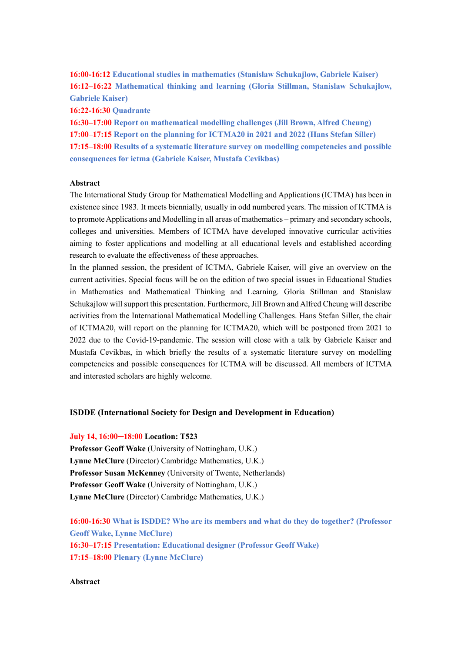**16:00-16:12 Educational studies in mathematics (Stanislaw Schukajlow, Gabriele Kaiser) 16:12–16:22 Mathematical thinking and learning (Gloria Stillman, Stanislaw Schukajlow, Gabriele Kaiser)**

**16:22-16:30 Quadrante**

**16:30–17:00 Report on mathematical modelling challenges (Jill Brown, Alfred Cheung) 17:00–17:15 Report on the planning for ICTMA20 in 2021 and 2022 (Hans Stefan Siller) 17:15–18:00 Results of a systematic literature survey on modelling competencies and possible consequences for ictma (Gabriele Kaiser, Mustafa Cevikbas)**

## **Abstract**

The International Study Group for Mathematical Modelling and Applications (ICTMA) has been in existence since 1983. It meets biennially, usually in odd numbered years. The mission of ICTMA is to promote Applications and Modelling in all areas of mathematics – primary and secondary schools, colleges and universities. Members of ICTMA have developed innovative curricular activities aiming to foster applications and modelling at all educational levels and established according research to evaluate the effectiveness of these approaches.

In the planned session, the president of ICTMA, Gabriele Kaiser, will give an overview on the current activities. Special focus will be on the edition of two special issues in Educational Studies in Mathematics and Mathematical Thinking and Learning. Gloria Stillman and Stanislaw Schukajlow will support this presentation. Furthermore, Jill Brown and Alfred Cheung will describe activities from the International Mathematical Modelling Challenges. Hans Stefan Siller, the chair of ICTMA20, will report on the planning for ICTMA20, which will be postponed from 2021 to 2022 due to the Covid-19-pandemic. The session will close with a talk by Gabriele Kaiser and Mustafa Cevikbas, in which briefly the results of a systematic literature survey on modelling competencies and possible consequences for ICTMA will be discussed. All members of ICTMA and interested scholars are highly welcome.

#### **ISDDE (International Society for Design and Development in Education)**

#### **July 14, 16:00─18:00 Location: T523**

**Professor Geoff Wake** (University of Nottingham, U.K.) **Lynne McClure** (Director) Cambridge Mathematics, U.K.) **Professor Susan McKenney** (University of Twente, Netherlands) **Professor Geoff Wake** (University of Nottingham, U.K.) **Lynne McClure** (Director) Cambridge Mathematics, U.K.)

**16:00-16:30 What is ISDDE? Who are its members and what do they do together? (Professor Geoff Wake, Lynne McClure) 16:30–17:15 Presentation: Educational designer (Professor Geoff Wake) 17:15–18:00 Plenary (Lynne McClure)**

## **Abstract**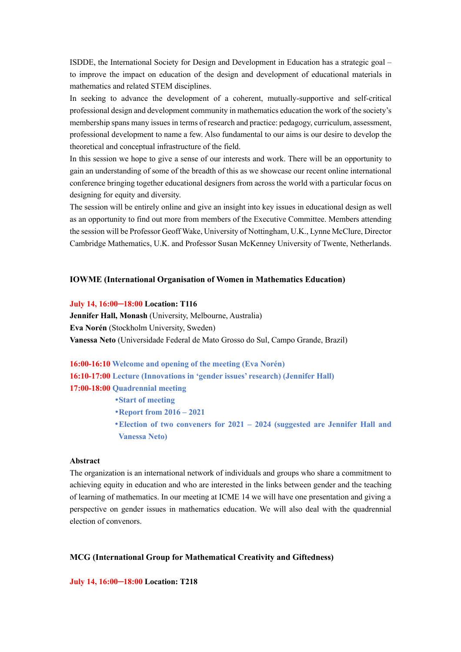ISDDE, the International Society for Design and Development in Education has a strategic goal – to improve the impact on education of the design and development of educational materials in mathematics and related STEM disciplines.

In seeking to advance the development of a coherent, mutually-supportive and self-critical professional design and development community in mathematics education the work of the society's membership spans many issues in terms of research and practice: pedagogy, curriculum, assessment, professional development to name a few. Also fundamental to our aims is our desire to develop the theoretical and conceptual infrastructure of the field.

In this session we hope to give a sense of our interests and work. There will be an opportunity to gain an understanding of some of the breadth of this as we showcase our recent online international conference bringing together educational designers from across the world with a particular focus on designing for equity and diversity.

The session will be entirely online and give an insight into key issues in educational design as well as an opportunity to find out more from members of the Executive Committee. Members attending the session will be Professor Geoff Wake, University of Nottingham, U.K., Lynne McClure, Director Cambridge Mathematics, U.K. and Professor Susan McKenney University of Twente, Netherlands.

#### **IOWME (International Organisation of Women in Mathematics Education)**

#### **July 14, 16:00─18:00 Location: T116**

**Jennifer Hall, Monash** (University, Melbourne, Australia) **Eva Norén** (Stockholm University, Sweden) **Vanessa Neto** (Universidade Federal de Mato Grosso do Sul, Campo Grande, Brazil)

**16:00-16:10 Welcome and opening of the meeting (Eva Norén) 16:10-17:00 Lecture (Innovations in 'gender issues' research) (Jennifer Hall) 17:00-18:00 Quadrennial meeting**

•**Start of meeting**

•**Report from 2016 – 2021**

•**Election of two conveners for 2021 – 2024 (suggested are Jennifer Hall and Vanessa Neto)**

#### **Abstract**

The organization is an international network of individuals and groups who share a commitment to achieving equity in education and who are interested in the links between gender and the teaching of learning of mathematics. In our meeting at ICME 14 we will have one presentation and giving a perspective on gender issues in mathematics education. We will also deal with the quadrennial election of convenors.

## **MCG (International Group for Mathematical Creativity and Giftedness)**

**July 14, 16:00─18:00 Location: T218**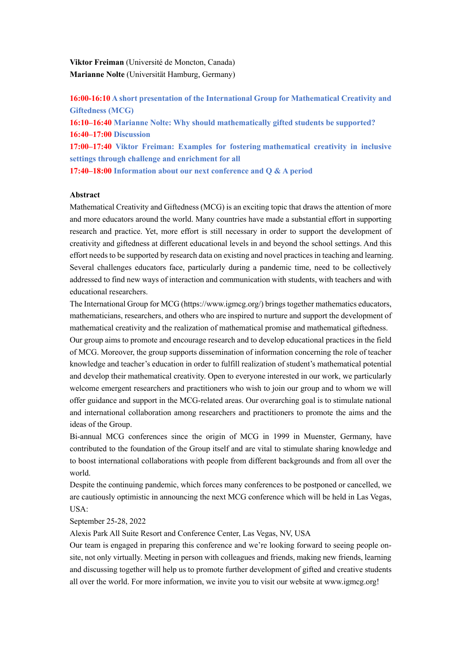**Viktor Freiman** (Université de Moncton, Canada) **Marianne Nolte** (Universität Hamburg, Germany)

**16:00-16:10 A short presentation of the International Group for Mathematical Creativity and Giftedness (MCG) 16:10–16:40 Marianne Nolte: Why should mathematically gifted students be supported? 16:40–17:00 Discussion 17:00–17:40 Viktor Freiman: Examples for fostering mathematical creativity in inclusive settings through challenge and enrichment for all 17:40–18:00 Information about our next conference and Q & A period**

#### **Abstract**

Mathematical Creativity and Giftedness (MCG) is an exciting topic that draws the attention of more and more educators around the world. Many countries have made a substantial effort in supporting research and practice. Yet, more effort is still necessary in order to support the development of creativity and giftedness at different educational levels in and beyond the school settings. And this effort needs to be supported by research data on existing and novel practices in teaching and learning. Several challenges educators face, particularly during a pandemic time, need to be collectively addressed to find new ways of interaction and communication with students, with teachers and with educational researchers.

The International Group for MCG (https://www.igmcg.org/) brings together mathematics educators, mathematicians, researchers, and others who are inspired to nurture and support the development of mathematical creativity and the realization of mathematical promise and mathematical giftedness.

Our group aims to promote and encourage research and to develop educational practices in the field of MCG. Moreover, the group supports dissemination of information concerning the role of teacher knowledge and teacher's education in order to fulfill realization of student's mathematical potential and develop their mathematical creativity. Open to everyone interested in our work, we particularly welcome emergent researchers and practitioners who wish to join our group and to whom we will offer guidance and support in the MCG-related areas. Our overarching goal is to stimulate national and international collaboration among researchers and practitioners to promote the aims and the ideas of the Group.

Bi-annual MCG conferences since the origin of MCG in 1999 in Muenster, Germany, have contributed to the foundation of the Group itself and are vital to stimulate sharing knowledge and to boost international collaborations with people from different backgrounds and from all over the world.

Despite the continuing pandemic, which forces many conferences to be postponed or cancelled, we are cautiously optimistic in announcing the next MCG conference which will be held in Las Vegas, USA:

September 25-28, 2022

Alexis Park All Suite Resort and Conference Center, Las Vegas, NV, USA

Our team is engaged in preparing this conference and we're looking forward to seeing people onsite, not only virtually. Meeting in person with colleagues and friends, making new friends, learning and discussing together will help us to promote further development of gifted and creative students all over the world. For more information, we invite you to visit our website at www.igmcg.org!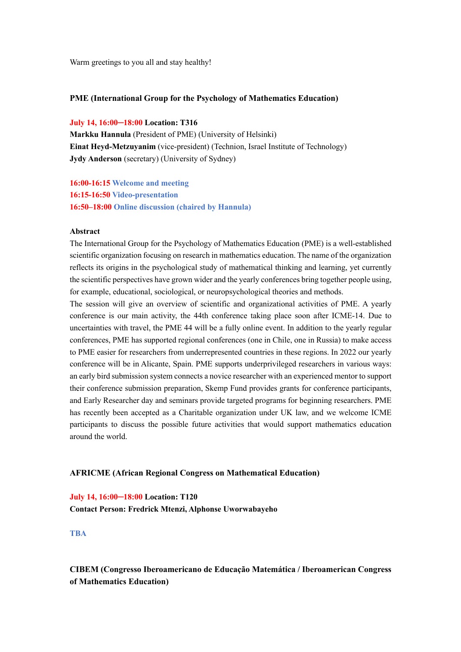Warm greetings to you all and stay healthy!

## **PME (International Group for the Psychology of Mathematics Education)**

## **July 14, 16:00─18:00 Location: T316**

**Markku Hannula** (President of PME) (University of Helsinki) **Einat Heyd-Metzuyanim** (vice-president) (Technion, Israel Institute of Technology) **Jydy Anderson** (secretary) (University of Sydney)

**16:00-16:15 Welcome and meeting 16:15-16:50 Video-presentation 16:50–18:00 Online discussion (chaired by Hannula)**

#### **Abstract**

The International Group for the Psychology of Mathematics Education (PME) is a well-established scientific organization focusing on research in mathematics education. The name of the organization reflects its origins in the psychological study of mathematical thinking and learning, yet currently the scientific perspectives have grown wider and the yearly conferences bring together people using, for example, educational, sociological, or neuropsychological theories and methods.

The session will give an overview of scientific and organizational activities of PME. A yearly conference is our main activity, the 44th conference taking place soon after ICME-14. Due to uncertainties with travel, the PME 44 will be a fully online event. In addition to the yearly regular conferences, PME has supported regional conferences (one in Chile, one in Russia) to make access to PME easier for researchers from underrepresented countries in these regions. In 2022 our yearly conference will be in Alicante, Spain. PME supports underprivileged researchers in various ways: an early bird submission system connects a novice researcher with an experienced mentor to support their conference submission preparation, Skemp Fund provides grants for conference participants, and Early Researcher day and seminars provide targeted programs for beginning researchers. PME has recently been accepted as a Charitable organization under UK law, and we welcome ICME participants to discuss the possible future activities that would support mathematics education around the world.

## **AFRICME (African Regional Congress on Mathematical Education)**

**July 14, 16:00─18:00 Location: T120 Contact Person: Fredrick Mtenzi, Alphonse Uworwabayeho**

**TBA**

**CIBEM (Congresso Iberoamericano de Educação Matemática / Iberoamerican Congress of Mathematics Education)**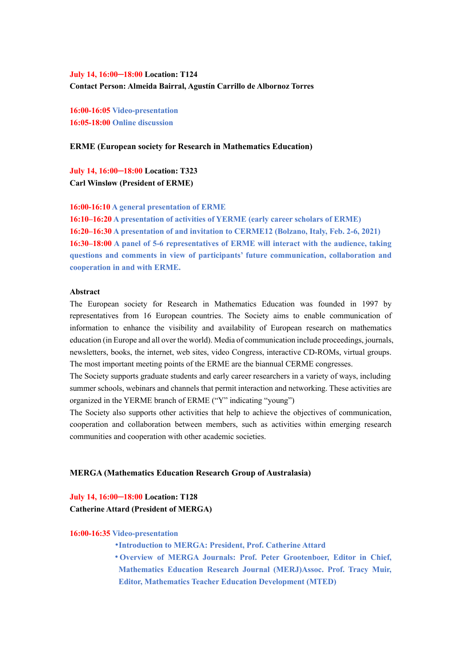**July 14, 16:00─18:00 Location: T124 Contact Person: Almeida Bairral, Agustín Carrillo de Albornoz Torres**

**16:00-16:05 Video-presentation 16:05-18:00 Online discussion**

#### **ERME (European society for Research in Mathematics Education)**

**July 14, 16:00─18:00 Location: T323 Carl Winsløw (President of ERME)**

**16:00-16:10 A general presentation of ERME**

**16:10–16:20 A presentation of activities of YERME (early career scholars of ERME) 16:20–16:30 A presentation of and invitation to CERME12 (Bolzano, Italy, Feb. 2-6, 2021) 16:30–18:00 A panel of 5-6 representatives of ERME will interact with the audience, taking questions and comments in view of participants' future communication, collaboration and cooperation in and with ERME.**

## **Abstract**

The European society for Research in Mathematics Education was founded in 1997 by representatives from 16 European countries. The Society aims to enable communication of information to enhance the visibility and availability of European research on mathematics education (in Europe and all over the world). Media of communication include proceedings, journals, newsletters, books, the internet, web sites, video Congress, interactive CD-ROMs, virtual groups. The most important meeting points of the ERME are the biannual CERME congresses.

The Society supports graduate students and early career researchers in a variety of ways, including summer schools, webinars and channels that permit interaction and networking. These activities are organized in the YERME branch of ERME ("Y" indicating "young")

The Society also supports other activities that help to achieve the objectives of communication, cooperation and collaboration between members, such as activities within emerging research communities and cooperation with other academic societies.

#### **MERGA (Mathematics Education Research Group of Australasia)**

# **July 14, 16:00─18:00 Location: T128 Catherine Attard (President of MERGA)**

#### **16:00-16:35 Video-presentation**

- •**Introduction to MERGA: President, Prof. Catherine Attard**
- •**Overview of MERGA Journals: Prof. Peter Grootenboer, Editor in Chief, Mathematics Education Research Journal (MERJ)Assoc. Prof. Tracy Muir, Editor, Mathematics Teacher Education Development (MTED)**